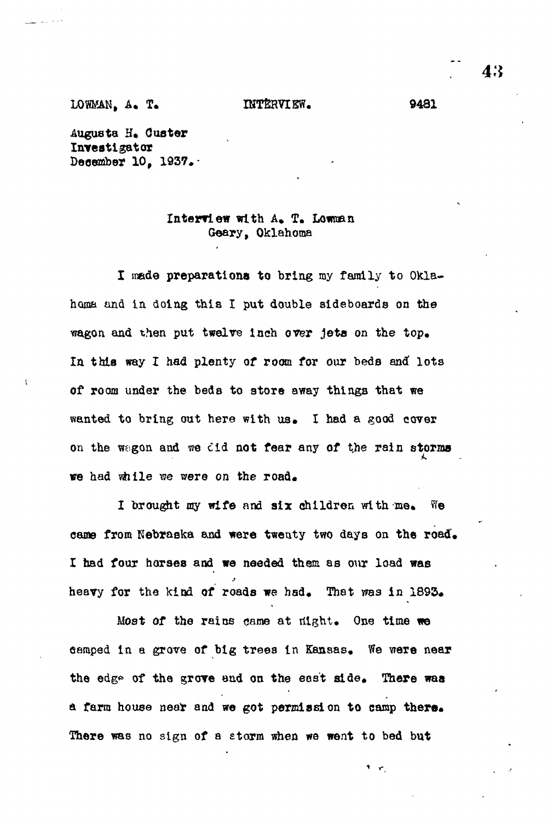LOWMAN, A. T. INTERVIEW. 9481

Augusta H. Ouster Investigator December 10, 1937.

# Interview with A. T. Lowman Geary, Oklahoma

I made preparations to bring my family to Oklahoma and in doing this I put double sideboards on the wagon and then put twelve inch over jeta on the top. l a thta way I had plenty of room for our beds and lots of room under the beds to store away things that we wanted to bring out here with us. I had a good cover on the wegon and we cid not fear any of the rain storms we had while we were on the road.

I brought my wife and six children with me. We came from Nebraska and were twenty two days on the road. I had four horses and we needed them as our load was heavy for the kind of roads we had. That was in 1893.

Most of the rains came at might. One time we camped in a grove of big trees in Kansas. We were near the edge of the grove and on the east side. There was a farm house near and we got permission to camp there. There was no sign of a storm when we went to bed but

 $\mathbf{v}$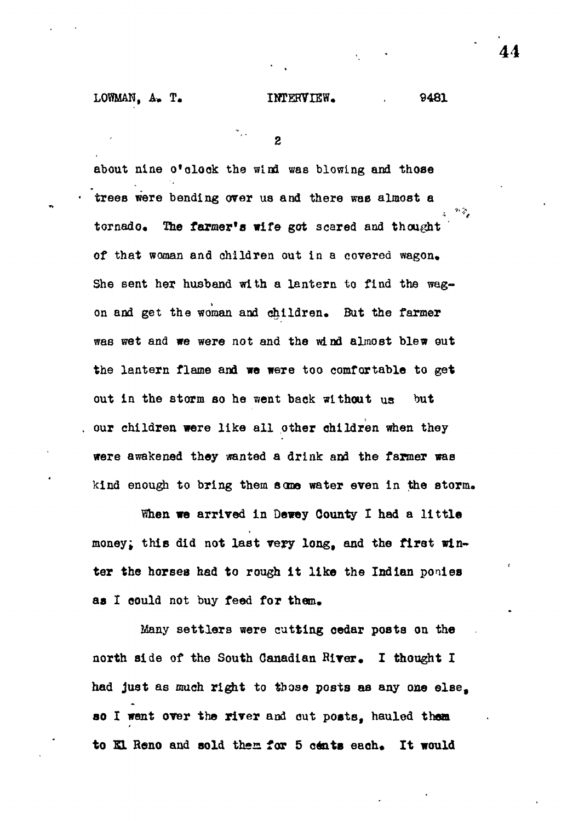$\overline{2}$ 

about nine o'clock the wind was blowing and those trees were bending over us and there was almost a tornado. The farmer's wife got scared and thought of that woman and children out in a covered wagon. She sent her husband with a lantern to find the wagon and get the woman and children. But the farmer was wet and we were not and the wind almost blew out the lantern flame and we were too comfortable to get out in the storm so he went back without us but . our children were like all other children when they were awakened they wanted a drink and the farmer was kind enough to bring them some water even in the storm.

When we arrived in Dewey County I had a little money; this did not last very long, and the first winter the horses had to rough it like the Indian ponies as I could not buy feed for them.

Many settlers were cutting cedar posts on the north side of the South Canadian River. I thought I had just as much right to those posts as any one else, so I went over the river and out posts, hauled them to El Reno and sold them for 5 cents each. It would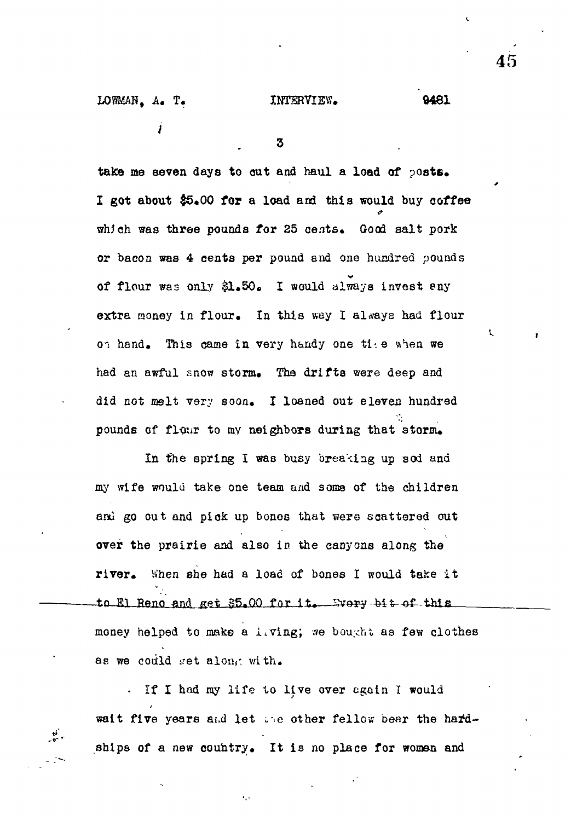take me seven days to out and haul a load of posts\* I got about \$5\*00 **for** a load and this would buy coffee which was the power of 25 cents\* Good salt porks for 25 cents\* Good salt porks for 25 cents\* Good salt porks f<br>The power of 25 cents\* Good salt porks for 25 cents\* Good salt porks for 25 cents\* Good salt power of 25 cents or bacon was 4 cents per pound and one hundred pounds of flour was only #l\*50e I would always invest eny extra money in flow I always had flow  $\mathcal{I}$ on hand  $\sim$  This came in very handy one title experimental  $\sim$ had an awful snow storm\* The drifts were deep and did not melt very soon\* I loaned out eleven hundred pounds of flower to my neighbors during that stormatic that stormatic that stormatic that stormatic that stormatic that stormatic that stormatic that stormatic that stormatic that stormatic that stormatic that stormatic t

In the spring  $\alpha$  was busy breaking up so  $\alpha$ my wife woulu take one team and some of the children anu go out and pieic up bones that were scattered out over the prairie and also in the canyons along the  $\frac{1}{2}$ to E1 Reno and get \$5.00 for it. Svery hit of this money helped to make a living; we bought as few clothes as we could get along with.

If I had my life to live over egoin I would wait five years and let the other fellow bear the hardships of a new country. It is no place for women and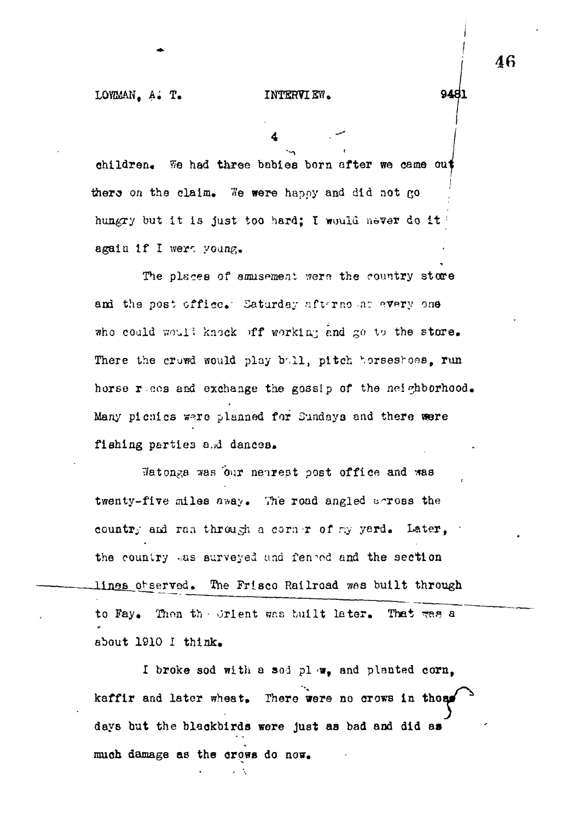children. We had three babies born after we came out there on the claim. We were happy and did not go hungry but it is just too hard; I would never do it again if I were young.

 $T_{\text{max}}$  and  $T_{\text{max}}$  the country star the country store store store store store and the post office.- Saturday nfvrno nr r»v«ry on© who coald if we conclude the store  $\sigma$ There alle crows noute heat b'.rl, hinch virege and run horse reces and exchange the gossip of the neighborhood. Many picnics were planned for Sundays and there were fishing parties a.d dances.

Watonga was our nearest post office and was twenty-five miles away. The road angled arross the country and ran through a corner of my yard. Later, country and reasonably and results are a through a corn T of ny yard. Later, 's corn T of ny yard. Later, 's c the country as surveyed and feneed and the section lines observed. The Frisco Railroad was built through  $J$ llnes and  $J$ llnes and  $J$ llnes and  $J$ llnes  $J$ to Fay. Then the Orient was built later. That was a about 1910 I think.

I broke sod with a sod pl w, and planted corn, kaffir and later wheat. There were no crows in those days but the blackbirds were just as bad and did as much damage as the crows do now.

9481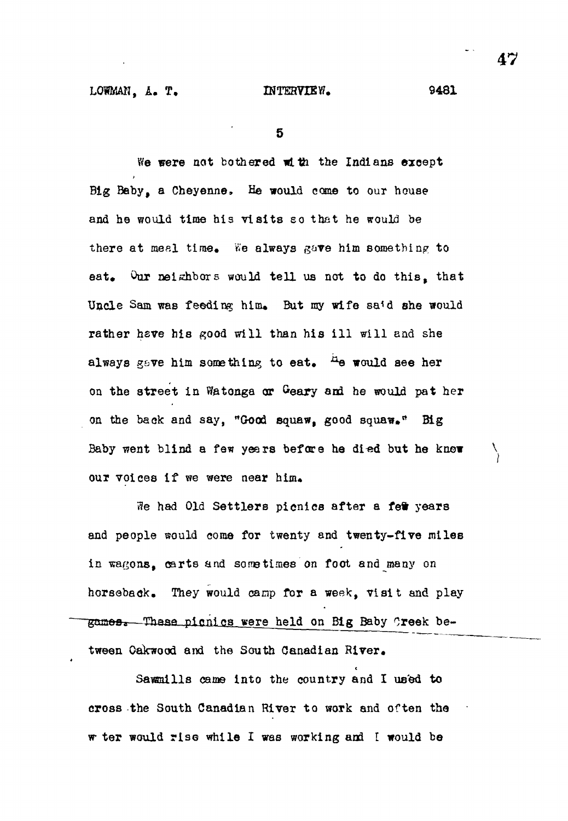We were not bothered with the Indians except Big Baby, a Cheyenne. He would come to our house and he would time his visits so that he would be there at meal time. We always gave him something to eat. Our neighbors would tell us not to do this, that Uncle Sam was feeding him. But my wife sa'd she would rather have his good will than his ill will and she always gave him something to eat.  $^{H}e$  would see her on the street in Watonga or Geary and he would pat her on the back and say, "Good squaw, good squaw," Big Baby went blind a few years before he died but he know our voices if we were near him.

We had Old Settlers picnics after a few years and people would come for twenty and twenty-five miles in wagons, carts and sometimes on foot and many on horseback. They would camp for a week, visit and play games. These picnics were held on Big Baby Creek between Oakwood and the South Canadian River,

Sawmills came into the country and I us'ed to cross the South Canadian River to work and often the w ter would rise while I was working and I would be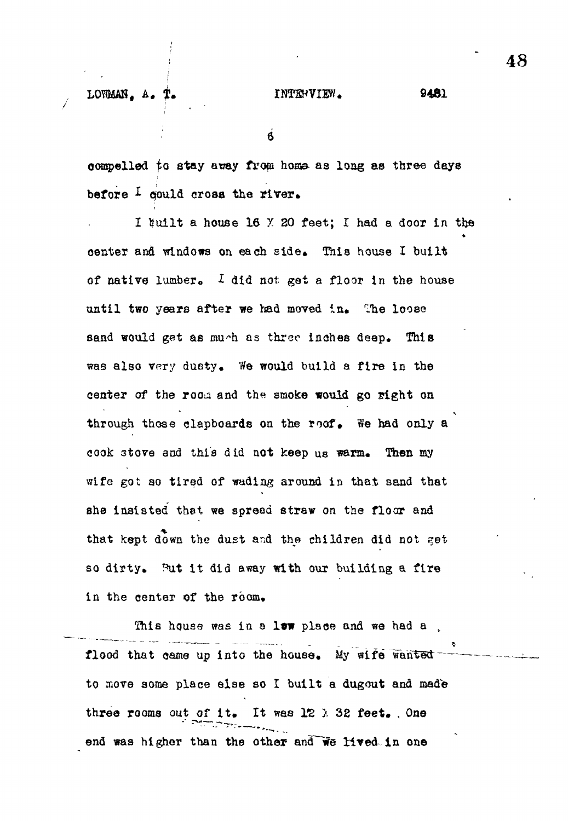*I*

**e**

compelled to stay away from home as long as three days before  $\frac{1}{2}$  qould cross the river.

I tuilt a house 16  $\times$  20 feet; I had a door in the **4** center and windows on each side. This house I built of native lumber. I did not get a floor in the house until two years after we had moved in. The loose sand would get as much as three inches deep. This was also very dusty. We would build a fire in the center of the room and the smoke would go right on through those clapboards on the roof. We had only a cook 3tove and this did not keep us warm. Then my wife got ao tired of wading around in that sand that she insisted that we spread straw on the floor and that kept down the dust and the children did not get so dirty. But it did away with our building a fire in the center of the room.

This house was in a low place and we had a flood that came up into the house. My wife wanted to move some place else so I built a dugout and made three rooms out of it. It was  $12 \times 32$  feet., One end was higher than the other and we lived in one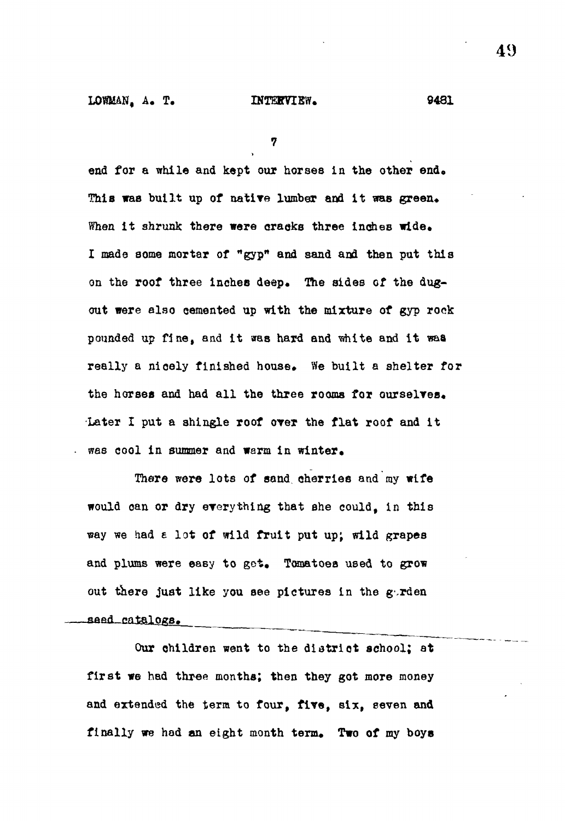**end for a while and kept our horses in the other end.** This was built up of native lumber and it was green. When it shrunk there were cracks three inches wide. **I made some mortar of "gyp" and sand and then put this on the roof three inches deep. The sides of the dugout were also cemented up with the mixture of gyp rook pounded up fine, and it was hard and white and it waa really a nicely finished house. We built a shelter for the horses and had all the three rooms for ourselYes. Later I put a shingle roof over the flat roof and it** was cool in summer and warm in winter.

**There were lots of sand, cherries and my wife would oan or dry ererything that she could, In this way we had £ lot of wild fruit put up; wild grapes** and plums were easy to get. Tomatoes used to grow out there just like you see pictures in the gurden **d catalogs.**

**Our children went to the diatriot school; at first we had three months; then they got more money and extended the term to four, fire, six, eeven and finally we had an eight month term. Two of my boys**

49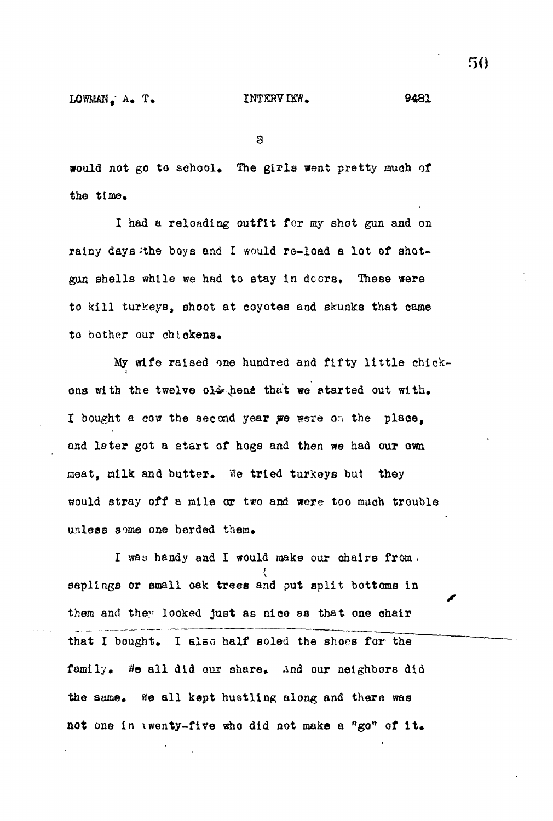S

would not go to school. The girls went pretty much of the time,

I had a reloading outfit for my shot gun and on rainy days the boys and I would re-load a lot of shotgun shells while we had to stay In dcors. These were to kill turkeys, shoot at coyotes and skunks that came to bother our chickens.

My wife raised one hundred and fifty little chickens with the twelve ol& hens that we started out with. I bought a cow the second year we were on the place, and later got a start of hogs and then we had our own meat, milk and butter. We tried turkeys but they would stray off a mile or two and were too much trouble unless some one herded them.

I was handy and I would make our chairs from . **{** saplings or small oak trees and put split bottoms in them and they looked just as nice as that one chair that I bought. I also half soled the shoes for the family. We all did our share. And our neighbors did the same. We all kept hustling along and there was not one in twenty-five who did not make a "go" of it.